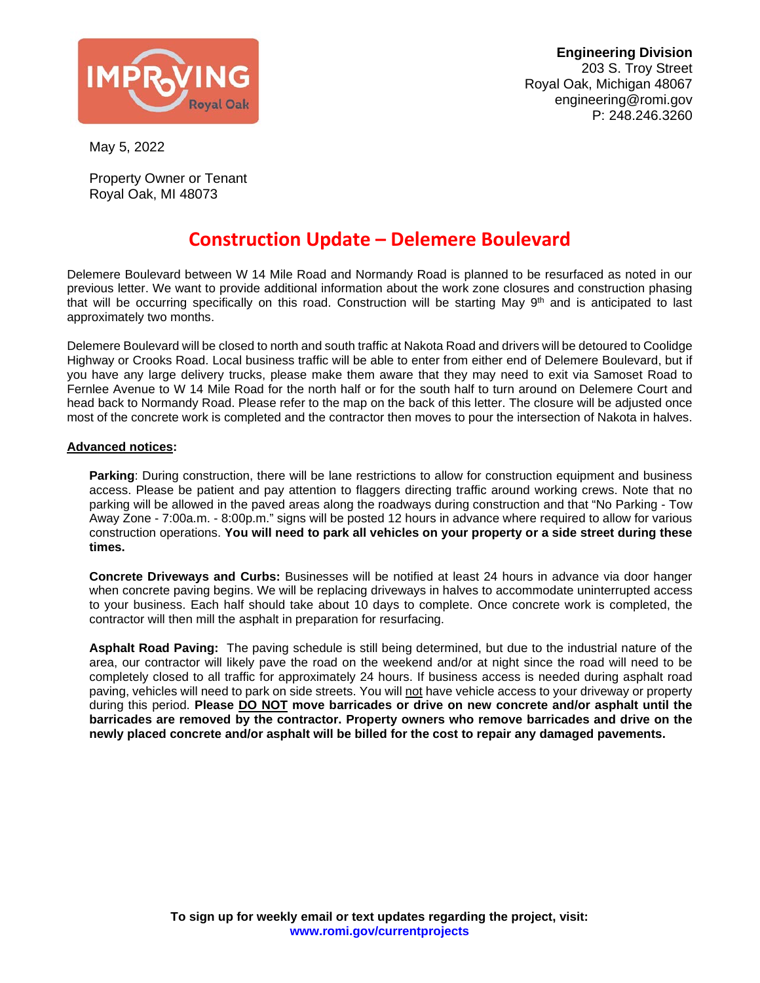

May 5, 2022

Property Owner or Tenant Royal Oak, MI 48073

## **Construction Update – Delemere Boulevard**

Delemere Boulevard between W 14 Mile Road and Normandy Road is planned to be resurfaced as noted in our previous letter. We want to provide additional information about the work zone closures and construction phasing that will be occurring specifically on this road. Construction will be starting May 9<sup>th</sup> and is anticipated to last approximately two months.

Delemere Boulevard will be closed to north and south traffic at Nakota Road and drivers will be detoured to Coolidge Highway or Crooks Road. Local business traffic will be able to enter from either end of Delemere Boulevard, but if you have any large delivery trucks, please make them aware that they may need to exit via Samoset Road to Fernlee Avenue to W 14 Mile Road for the north half or for the south half to turn around on Delemere Court and head back to Normandy Road. Please refer to the map on the back of this letter. The closure will be adjusted once most of the concrete work is completed and the contractor then moves to pour the intersection of Nakota in halves.

## **Advanced notices:**

**Parking**: During construction, there will be lane restrictions to allow for construction equipment and business access. Please be patient and pay attention to flaggers directing traffic around working crews. Note that no parking will be allowed in the paved areas along the roadways during construction and that "No Parking - Tow Away Zone - 7:00a.m. - 8:00p.m." signs will be posted 12 hours in advance where required to allow for various construction operations. **You will need to park all vehicles on your property or a side street during these times.**

**Concrete Driveways and Curbs:** Businesses will be notified at least 24 hours in advance via door hanger when concrete paving begins. We will be replacing driveways in halves to accommodate uninterrupted access to your business. Each half should take about 10 days to complete. Once concrete work is completed, the contractor will then mill the asphalt in preparation for resurfacing.

**Asphalt Road Paving:** The paving schedule is still being determined, but due to the industrial nature of the area, our contractor will likely pave the road on the weekend and/or at night since the road will need to be completely closed to all traffic for approximately 24 hours. If business access is needed during asphalt road paving, vehicles will need to park on side streets. You will not have vehicle access to your driveway or property during this period. **Please DO NOT move barricades or drive on new concrete and/or asphalt until the barricades are removed by the contractor. Property owners who remove barricades and drive on the newly placed concrete and/or asphalt will be billed for the cost to repair any damaged pavements.**